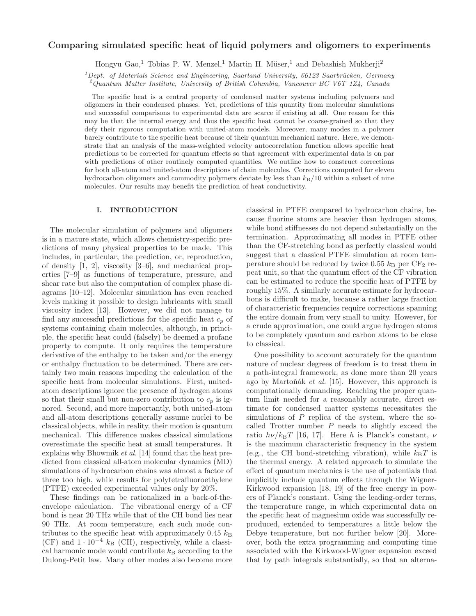# Comparing simulated specific heat of liquid polymers and oligomers to experiments

Hongyu Gao,<sup>1</sup> Tobias P. W. Menzel,<sup>1</sup> Martin H. Müser,<sup>1</sup> and Debashish Mukherji<sup>2</sup>

 $1$ Dept. of Materials Science and Engineering, Saarland University, 66123 Saarbrücken, Germany

<sup>2</sup>Quantum Matter Institute, University of British Columbia, Vancouver BC V6T 1Z4, Canada

The specific heat is a central property of condensed matter systems including polymers and oligomers in their condensed phases. Yet, predictions of this quantity from molecular simulations and successful comparisons to experimental data are scarce if existing at all. One reason for this may be that the internal energy and thus the specific heat cannot be coarse-grained so that they defy their rigorous computation with united-atom models. Moreover, many modes in a polymer barely contribute to the specific heat because of their quantum mechanical nature. Here, we demonstrate that an analysis of the mass-weighted velocity autocorrelation function allows specific heat predictions to be corrected for quantum effects so that agreement with experimental data is on par with predictions of other routinely computed quantities. We outline how to construct corrections for both all-atom and united-atom descriptions of chain molecules. Corrections computed for eleven hydrocarbon oligomers and commodity polymers deviate by less than  $k_B/10$  within a subset of nine molecules. Our results may benefit the prediction of heat conductivity.

### I. INTRODUCTION

The molecular simulation of polymers and oligomers is in a mature state, which allows chemistry-specific predictions of many physical properties to be made. This includes, in particular, the prediction, or, reproduction, of density [1, 2], viscosity [3–6], and mechanical properties [7–9] as functions of temperature, pressure, and shear rate but also the computation of complex phase diagrams [10–12]. Molecular simulation has even reached levels making it possible to design lubricants with small viscosity index [13]. However, we did not manage to find any successful predictions for the specific heat  $c_p$  of systems containing chain molecules, although, in principle, the specific heat could (falsely) be deemed a profane property to compute. It only requires the temperature derivative of the enthalpy to be taken and/or the energy or enthalpy fluctuation to be determined. There are certainly two main reasons impeding the calculation of the specific heat from molecular simulations. First, unitedatom descriptions ignore the presence of hydrogen atoms so that their small but non-zero contribution to  $c_p$  is ignored. Second, and more importantly, both united-atom and all-atom descriptions generally assume nuclei to be classical objects, while in reality, their motion is quantum mechanical. This difference makes classical simulations overestimate the specific heat at small temperatures. It explains why Bhowmik et al. [14] found that the heat predicted from classical all-atom molecular dynamics (MD) simulations of hydrocarbon chains was almost a factor of three too high, while results for polytetrafluoroethylene (PTFE) exceeded experimental values only by 20%.

These findings can be rationalized in a back-of-theenvelope calculation. The vibrational energy of a CF bond is near 20 THz while that of the CH bond lies near 90 THz. At room temperature, each such mode contributes to the specific heat with approximately  $0.45\ k_{\rm B}$ (CF) and  $1 \cdot 10^{-4}$  k<sub>B</sub> (CH), respectively, while a classical harmonic mode would contribute  $k_B$  according to the Dulong-Petit law. Many other modes also become more

classical in PTFE compared to hydrocarbon chains, because fluorine atoms are heavier than hydrogen atoms, while bond stiffnesses do not depend substantially on the termination. Approximating all modes in PTFE other than the CF-stretching bond as perfectly classical would suggest that a classical PTFE simulation at room temperature should be reduced by twice 0.55  $k_B$  per CF<sub>2</sub> repeat unit, so that the quantum effect of the CF vibration can be estimated to reduce the specific heat of PTFE by roughly 15%. A similarly accurate estimate for hydrocarbons is difficult to make, because a rather large fraction of characteristic frequencies require corrections spanning the entire domain from very small to unity. However, for a crude approximation, one could argue hydrogen atoms to be completely quantum and carbon atoms to be close to classical.

One possibility to account accurately for the quantum nature of nuclear degrees of freedom is to treat them in a path-integral framework, as done more than 20 years ago by Martoňák et al. [15]. However, this approach is computationally demanding. Reaching the proper quantum limit needed for a reasonably accurate, direct estimate for condensed matter systems necessitates the simulations of  $P$  replica of the system, where the socalled Trotter number  $P$  needs to slightly exceed the ratio  $h\nu/k_BT$  [16, 17]. Here h is Planck's constant,  $\nu$ is the maximum characteristic frequency in the system (e.g., the CH bond-stretching vibration), while  $k_BT$  is the thermal energy. A related approach to simulate the effect of quantum mechanics is the use of potentials that implicitly include quantum effects through the Wigner-Kirkwood expansion [18, 19] of the free energy in powers of Planck's constant. Using the leading-order terms, the temperature range, in which experimental data on the specific heat of magnesium oxide was successfully reproduced, extended to temperatures a little below the Debye temperature, but not further below [20]. Moreover, both the extra programming and computing time associated with the Kirkwood-Wigner expansion exceed that by path integrals substantially, so that an alterna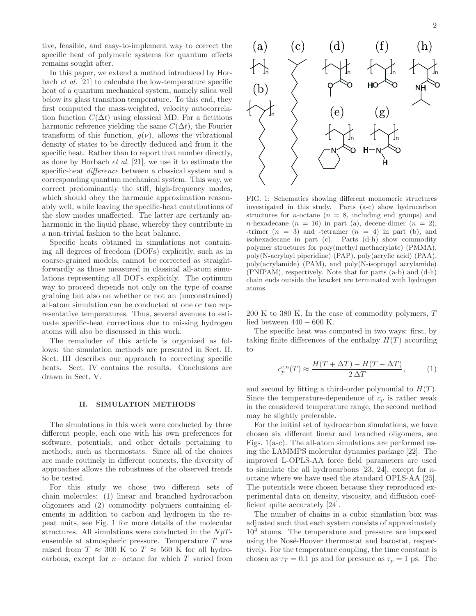tive, feasible, and easy-to-implement way to correct the specific heat of polymeric systems for quantum effects remains sought after.

In this paper, we extend a method introduced by Horbach et al. [21] to calculate the low-temperature specific heat of a quantum mechanical system, namely silica well below its glass transition temperature. To this end, they first computed the mass-weighted, velocity autocorrelation function  $C(\Delta t)$  using classical MD. For a fictitious harmonic reference yielding the same  $C(\Delta t)$ , the Fourier transform of this function,  $q(\nu)$ , allows the vibrational density of states to be directly deduced and from it the specific heat. Rather than to report that number directly, as done by Horbach et al. [21], we use it to estimate the specific-heat difference between a classical system and a corresponding quantum mechanical system. This way, we correct predominantly the stiff, high-frequency modes, which should obey the harmonic approximation reasonably well, while leaving the specific-heat contributions of the slow modes unaffected. The latter are certainly anharmonic in the liquid phase, whereby they contribute in a non-trivial fashion to the heat balance.

Specific heats obtained in simulations not containing all degrees of freedom (DOFs) explicitly, such as in coarse-grained models, cannot be corrected as straightforwardly as those measured in classical all-atom simulations representing all DOFs explicitly. The optimum way to proceed depends not only on the type of coarse graining but also on whether or not an (unconstrained) all-atom simulation can be conducted at one or two representative temperatures. Thus, several avenues to estimate specific-heat corrections due to missing hydrogen atoms will also be discussed in this work.

The remainder of this article is organized as follows: the simulation methods are presented in Sect. II. Sect. III describes our approach to correcting specific heats. Sect. IV contains the results. Conclusions are drawn in Sect. V.

#### II. SIMULATION METHODS

The simulations in this work were conducted by three different people, each one with his own preferences for software, potentials, and other details pertaining to methods, such as thermostats. Since all of the choices are made routinely in different contexts, the diversity of approaches allows the robustness of the observed trends to be tested.

For this study we chose two different sets of chain molecules: (1) linear and branched hydrocarbon oligomers and (2) commodity polymers containing elements in addition to carbon and hydrogen in the repeat units, see Fig. 1 for more details of the molecular structures. All simulations were conducted in the  $NpT$ ensemble at atmospheric pressure. Temperature T was raised from  $T \approx 300$  K to  $T \approx 560$  K for all hydrocarbons, except for  $n$ -octane for which  $T$  varied from



FIG. 1: Schematics showing different monomeric structures investigated in this study. Parts (a-c) show hydrocarbon structures for *n*-octane  $(n = 8, \text{ including end groups})$  and n-hexadecane  $(n = 16)$  in part (a), decene-dimer  $(n = 2)$ , -trimer  $(n = 3)$  and -tetramer  $(n = 4)$  in part (b), and isohexadecane in part (c). Parts (d-h) show commodity polymer structures for poly(methyl methacrylate) (PMMA), poly(N-acryloyl piperidine) (PAP), poly(acrylic acid) (PAA), poly(acrylamide) (PAM), and poly(N-isopropyl acrylamide) (PNIPAM), respectively. Note that for parts (a-b) and (d-h) chain ends outside the bracket are terminated with hydrogen atoms.

200 K to 380 K. In the case of commodity polymers, T lied between  $440 - 600$  K.

The specific heat was computed in two ways: first, by taking finite differences of the enthalpy  $H(T)$  according to

$$
c_p^{\text{cla}}(T) \approx \frac{H(T + \Delta T) - H(T - \Delta T)}{2\,\Delta T},\tag{1}
$$

and second by fitting a third-order polynomial to  $H(T)$ . Since the temperature-dependence of  $c_p$  is rather weak in the considered temperature range, the second method may be slightly preferable.

For the initial set of hydrocarbon simulations, we have chosen six different linear and branched oligomers, see Figs. 1(a-c). The all-atom simulations are performed using the LAMMPS molecular dynamics package [22]. The improved L-OPLS-AA force field parameters are used to simulate the all hydrocarbons  $[23, 24]$ , except for *n*octane where we have used the standard OPLS-AA [25]. The potentials were chosen because they reproduced experimental data on density, viscosity, and diffusion coefficient quite accurately [24].

The number of chains in a cubic simulation box was adjusted such that each system consists of approximately  $10<sup>4</sup>$  atoms. The temperature and pressure are imposed using the Nosé-Hoover thermostat and barostat, respectively. For the temperature coupling, the time constant is chosen as  $\tau_T = 0.1$  ps and for pressure as  $\tau_p = 1$  ps. The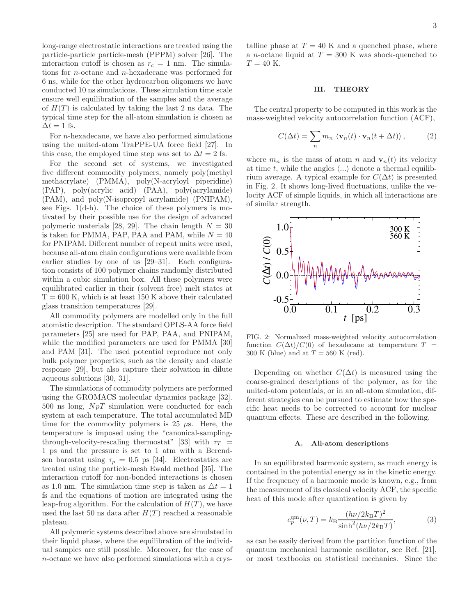long-range electrostatic interactions are treated using the particle-particle particle-mesh (PPPM) solver [26]. The interaction cutoff is chosen as  $r_c = 1$  nm. The simulations for n-octane and n-hexadecane was performed for 6 ns, while for the other hydrocarbon oligomers we have conducted 10 ns simulations. These simulation time scale ensure well equilibration of the samples and the average of  $H(T)$  is calculated by taking the last 2 ns data. The typical time step for the all-atom simulation is chosen as  $\Delta t = 1$  fs.

For *n*-hexadecane, we have also performed simulations using the united-atom TraPPE-UA force field [27]. In this case, the employed time step was set to  $\Delta t = 2$  fs.

For the second set of systems, we investigated five different commodity polymers, namely poly(methyl methacrylate) (PMMA), poly(N-acryloyl piperidine) (PAP), poly(acrylic acid) (PAA), poly(acrylamide) (PAM), and poly(N-isopropyl acrylamide) (PNIPAM), see Figs. 1(d-h). The choice of these polymers is motivated by their possible use for the design of advanced polymeric materials [28, 29]. The chain length  $N = 30$ is taken for PMMA, PAP, PAA and PAM, while  $N = 40$ for PNIPAM. Different number of repeat units were used, because all-atom chain configurations were available from earlier studies by one of us [29–31]. Each configuration consists of 100 polymer chains randomly distributed within a cubic simulation box. All these polymers were equilibrated earlier in their (solvent free) melt states at  $T = 600$  K, which is at least 150 K above their calculated glass transition temperatures [29].

All commodity polymers are modelled only in the full atomistic description. The standard OPLS-AA force field parameters [25] are used for PAP, PAA, and PNIPAM, while the modified parameters are used for PMMA [30] and PAM [31]. The used potential reproduce not only bulk polymer properties, such as the density and elastic response [29], but also capture their solvation in dilute aqueous solutions [30, 31].

The simulations of commodity polymers are performed using the GROMACS molecular dynamics package [32]. 500 ns long,  $NpT$  simulation were conducted for each system at each temperature. The total accumulated MD time for the commodity polymers is  $25 \mu s$ . Here, the temperature is imposed using the "canonical-samplingthrough-velocity-rescaling thermostat" [33] with  $\tau_T$  = 1 ps and the pressure is set to 1 atm with a Berendsen barostat using  $\tau_p = 0.5$  ps [34]. Electrostatics are treated using the particle-mesh Ewald method [35]. The interaction cutoff for non-bonded interactions is chosen as 1.0 nm. The simulation time step is taken as  $\Delta t = 1$ fs and the equations of motion are integrated using the leap-frog algorithm. For the calculation of  $H(T)$ , we have used the last 50 ns data after  $H(T)$  reached a reasonable plateau.

All polymeric systems described above are simulated in their liquid phase, where the equilibration of the individual samples are still possible. Moreover, for the case of n-octane we have also performed simulations with a crystalline phase at  $T = 40$  K and a quenched phase, where a *n*-octane liquid at  $T = 300$  K was shock-quenched to  $T = 40$  K.

### III. THEORY

The central property to be computed in this work is the mass-weighted velocity autocorrelation function (ACF),

$$
C(\Delta t) = \sum_{n} m_n \langle \mathbf{v}_n(t) \cdot \mathbf{v}_n(t + \Delta t) \rangle, \qquad (2)
$$

where  $m_n$  is the mass of atom n and  $\mathbf{v}_n(t)$  its velocity at time t, while the angles  $\langle \ldots \rangle$  denote a thermal equilibrium average. A typical example for  $C(\Delta t)$  is presented in Fig. 2. It shows long-lived fluctuations, unlike the velocity ACF of simple liquids, in which all interactions are of similar strength.



FIG. 2: Normalized mass-weighted velocity autocorrelation function  $C(\Delta t)/C(0)$  of hexadecane at temperature  $T =$ 300 K (blue) and at  $T = 560$  K (red).

Depending on whether  $C(\Delta t)$  is measured using the coarse-grained descriptions of the polymer, as for the united-atom potentials, or in an all-atom simulation, different strategies can be pursued to estimate how the specific heat needs to be corrected to account for nuclear quantum effects. These are described in the following.

### A. All-atom descriptions

In an equilibrated harmonic system, as much energy is contained in the potential energy as in the kinetic energy. If the frequency of a harmonic mode is known, e.g., from the measurement of its classical velocity ACF, the specific heat of this mode after quantization is given by

$$
c_p^{\rm qm}(\nu, T) = k_{\rm B} \frac{(h\nu/2k_{\rm B}T)^2}{\sinh^2(h\nu/2k_{\rm B}T)},\tag{3}
$$

as can be easily derived from the partition function of the quantum mechanical harmonic oscillator, see Ref. [21], or most textbooks on statistical mechanics. Since the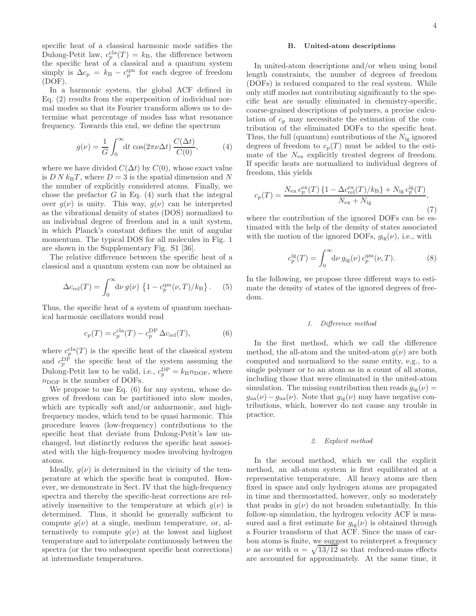specific heat of a classical harmonic mode satifies the Dulong-Petit law,  $c_p^{\text{cla}}(T) = k_B$ , the difference between the specific heat of a classical and a quantum system simply is  $\Delta c_p = k_B - c_p^{\text{qm}}$  for each degree of freedom (DOF).

In a harmonic system, the global ACF defined in Eq. (2) results from the superposition of individual normal modes so that its Fourier transform allows us to determine what percentage of modes has what resonance frequency. Towards this end, we define the spectrum

$$
g(\nu) = \frac{1}{G} \int_0^\infty dt \cos(2\pi\nu \Delta t) \frac{C(\Delta t)}{C(0)},
$$
 (4)

where we have divided  $C(\Delta t)$  by  $C(0)$ , whose exact value is  $D N k_{\text{B}}T$ , where  $D = 3$  is the spatial dimension and N the number of explicitly considered atoms. Finally, we chose the prefactor  $G$  in Eq. (4) such that the integral over  $g(\nu)$  is unity. This way,  $g(\nu)$  can be interpreted as the vibrational density of states (DOS) normalized to an individual degree of freedom and in a unit system, in which Planck's constant defines the unit of angular momentum. The typical DOS for all molecules in Fig. 1 are shown in the Supplementary Fig. S1 [36].

The relative difference between the specific heat of a classical and a quantum system can now be obtained as

$$
\Delta c_{\rm rel}(T) = \int_0^\infty d\nu \, g(\nu) \, \left\{ 1 - c_p^{\rm qm}(\nu, T) / k_{\rm B} \right\} . \tag{5}
$$

Thus, the specific heat of a system of quantum mechanical harmonic oscillators would read

$$
c_p(T) = c_p^{\text{cla}}(T) - c_p^{\text{DP}} \Delta c_{\text{rel}}(T),\tag{6}
$$

where  $c_p^{\text{cla}}(T)$  is the specific heat of the classical system and  $c_p^{\text{DP}}$  the specific heat of the system assuming the Dulong-Petit law to be valid, i.e.,  $c_p^{\text{DP}} = k_{\text{B}} n_{\text{DOF}}$ , where  $n_{\text{DOF}}$  is the number of DOFs.

We propose to use Eq. (6) for any system, whose degrees of freedom can be partitioned into slow modes, which are typically soft and/or anharmonic, and highfrequency modes, which tend to be quasi harmonic. This procedure leaves (low-frequency) contributions to the specific heat that deviate from Dulong-Petit's law unchanged, but distinctly reduces the specific heat associated with the high-frequency modes involving hydrogen atoms.

Ideally,  $g(\nu)$  is determined in the vicinity of the temperature at which the specific heat is computed. However, we demonstrate in Sect. IV that the high-frequency spectra and thereby the specific-heat corrections are relatively insensitive to the temperature at which  $g(\nu)$  is determined. Thus, it should be generally sufficient to compute  $q(\nu)$  at a single, medium temperature, or, alternatively to compute  $q(\nu)$  at the lowest and highest temperature and to interpolate continuously between the spectra (or the two subsequent specific heat corrections) at intermediate temperatures.

### B. United-atom descriptions

In united-atom descriptions and/or when using bond length constraints, the number of degrees of freedom (DOFs) is reduced compared to the real system. While only stiff modes not contributing significantly to the specific heat are usually eliminated in chemistry-specific, coarse-grained descriptions of polymers, a precise calculation of  $c_p$  may necessitate the estimation of the contribution of the eliminated DOFs to the specific heat. Thus, the full (quantum) contributions of the  $N_{ig}$  ignored degrees of freedom to  $c_p(T)$  must be added to the estimate of the  $N_{\rm ex}$  explicitly treated degrees of freedom. If specific heats are normalized to individual degrees of freedom, this yields

$$
c_p(T) = \frac{N_{\rm ex} c_p^{\rm ex}(T) \{1 - \Delta c_{\rm rel}^{\rm ex}(T)/k_{\rm B}\} + N_{\rm ig} c_p^{\rm ig}(T)}{N_{\rm ex} + N_{\rm ig}},\tag{7}
$$

where the contribution of the ignored DOFs can be estimated with the help of the density of states associated with the motion of the ignored DOFs,  $g_{ig}(\nu)$ , i.e., with

$$
c_p^{\text{ig}}(T) = \int_0^\infty d\nu \, g_{\text{ig}}(\nu) \, c_p^{\text{qm}}(\nu, T). \tag{8}
$$

In the following, we propose three different ways to estimate the density of states of the ignored degrees of freedom.

### 1. Difference method

In the first method, which we call the difference method, the all-atom and the united-atom  $q(\nu)$  are both computed and normalized to the same entity, e.g., to a single polymer or to an atom as in a count of all atoms, including those that were eliminated in the united-atom simulation. The missing contribution then reads  $g_{ig}(\nu)$  =  $g_{aa}(\nu)-g_{ua}(\nu)$ . Note that  $g_{ig}(\nu)$  may have negative contributions, which, however do not cause any trouble in practice.

### 2. Explicit method

In the second method, which we call the explicit method, an all-atom system is first equilibrated at a representative temperature. All heavy atoms are then fixed in space and only hydrogen atoms are propagated in time and thermostatted, however, only so moderately that peaks in  $g(\nu)$  do not broaden substantially. In this follow-up simulation, the hydrogen velocity ACF is measured and a first estimate for  $g_{ig}(\nu)$  is obtained through a Fourier transform of that ACF. Since the mass of carbon atoms is finite, we suggest to reinterpret a frequency  $\nu$  as  $\alpha \nu$  with  $\alpha = \sqrt{13/12}$  so that reduced-mass effects are accounted for approximately. At the same time, it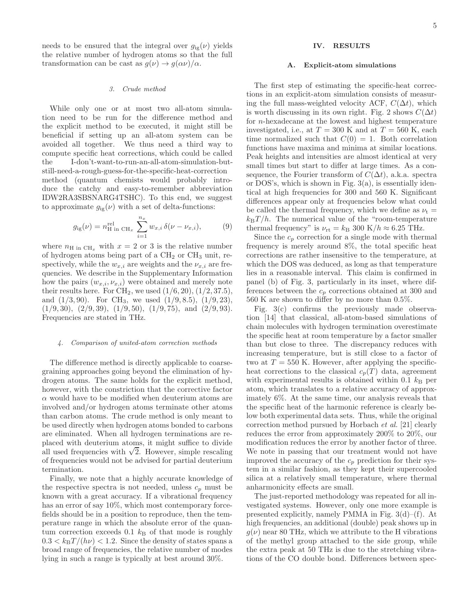needs to be ensured that the integral over  $g_{ig}(\nu)$  yields the relative number of hydrogen atoms so that the full transformation can be cast as  $g(\nu) \to g(\alpha \nu)/\alpha$ .

## 3. Crude method

While only one or at most two all-atom simulation need to be run for the difference method and the explicit method to be executed, it might still be beneficial if setting up an all-atom system can be avoided all together. We thus need a third way to compute specific heat corrections, which could be called the I-don't-want-to-run-an-all-atom-simulation-butstill-need-a-rough-guess-for-the-specific-heat-correction method (quantum chemists would probably introduce the catchy and easy-to-remember abbreviation IDW2RA3SBSNARG4TSHC). To this end, we suggest to approximate  $g_{ig}(\nu)$  with a set of delta-functions:

$$
g_{ig}(\nu) = n_{\text{H in CH}_x}^{\text{rel}} \sum_{i=1}^{n_x} w_{x,i} \,\delta(\nu - \nu_{x,i}),\tag{9}
$$

where  $n_{\rm H in CH_{x}}$  with  $x = 2$  or 3 is the relative number of hydrogen atoms being part of a  $CH<sub>2</sub>$  or  $CH<sub>3</sub>$  unit, respectively, while the  $w_{x,i}$  are weights and the  $\nu_{x,i}$  are frequencies. We describe in the Supplementary Information how the pairs  $(w_{x,i}, v_{x,i})$  were obtained and merely note their results here. For  $\text{CH}_2$ , we used  $(1/6, 20), (1/2, 37.5),$ and  $(1/3, 90)$ . For CH<sub>3</sub>, we used  $(1/9, 8.5)$ ,  $(1/9, 23)$ ,  $(1/9, 30), (2/9, 39), (1/9, 50), (1/9, 75), \text{ and } (2/9, 93).$ Frequencies are stated in THz.

### 4. Comparison of united-atom correction methods

The difference method is directly applicable to coarsegraining approaches going beyond the elimination of hydrogen atoms. The same holds for the explicit method, however, with the constriction that the corrective factor  $\alpha$  would have to be modified when deuterium atoms are involved and/or hydrogen atoms terminate other atoms than carbon atoms. The crude method is only meant to be used directly when hydrogen atoms bonded to carbons are eliminated. When all hydrogen terminations are replaced with deuterium atoms, it might suffice to divide all used frequencies with  $\sqrt{2}$ . However, simple rescaling of frequencies would not be advised for partial deuterium termination.

Finally, we note that a highly accurate knowledge of the respective spectra is not needed, unless  $c_p$  must be known with a great accuracy. If a vibrational frequency has an error of say  $10\%$ , which most contemporary forcefields should be in a position to reproduce, then the temperature range in which the absolute error of the quantum correction exceeds  $0.1\ k_{\rm B}$  of that mode is roughly  $0.3 < k_{\rm B}T/(\hbar\nu) < 1.2$ . Since the density of states spans a broad range of frequencies, the relative number of modes lying in such a range is typically at best around 30%.

## IV. RESULTS

#### A. Explicit-atom simulations

The first step of estimating the specific-heat corrections in an explicit-atom simulation consists of measuring the full mass-weighted velocity ACF,  $C(\Delta t)$ , which is worth discussing in its own right. Fig. 2 shows  $C(\Delta t)$ for n-hexadecane at the lowest and highest temperature investigated, i.e., at  $T = 300$  K and at  $T = 560$  K, each time normalized such that  $C(0) = 1$ . Both correlation functions have maxima and minima at similar locations. Peak heights and intensities are almost identical at very small times but start to differ at large times. As a consequence, the Fourier transform of  $C(\Delta t)$ , a.k.a. spectra or DOS's, which is shown in Fig. 3(a), is essentially identical at high frequencies for 300 and 560 K. Significant differences appear only at frequencies below what could be called the thermal frequency, which we define as  $\nu_t =$  $k_BT/h$ . The numerical value of the "room-temperature" thermal frequency" is  $\nu_{\rm rt} = k_{\rm B}$  300 K/h  $\approx 6.25$  THz.

Since the  $c_p$  correction for a single mode with thermal frequency is merely around 8%, the total specific heat corrections are rather insensitive to the temperature, at which the DOS was deduced, as long as that temperature lies in a reasonable interval. This claim is confirmed in panel (b) of Fig. 3, particularly in its inset, where differences between the  $c_p$  corrections obtained at 300 and 560 K are shown to differ by no more than 0.5%.

Fig. 3(c) confirms the previously made observation [14] that classical, all-atom-based simulations of chain molecules with hydrogen termination overestimate the specific heat at room temperature by a factor smaller than but close to three. The discrepancy reduces with increasing temperature, but is still close to a factor of two at  $T = 550$  K. However, after applying the specificheat corrections to the classical  $c_p(T)$  data, agreement with experimental results is obtained within 0.1  $k_B$  per atom, which translates to a relative accuracy of approximately 6%. At the same time, our analysis reveals that the specific heat of the harmonic reference is clearly below both experimental data sets. Thus, while the original correction method pursued by Horbach et al. [21] clearly reduces the error from approximately 200% to 20%, our modification reduces the error by another factor of three. We note in passing that our treatment would not have improved the accuracy of the  $c_p$  prediction for their system in a similar fashion, as they kept their supercooled silica at a relatively small temperature, where thermal anharmonicity effects are small.

The just-reported methodology was repeated for all investigated systems. However, only one more example is presented explicitly, namely PMMA in Fig. 3(d)–(f). At high frequencies, an additional (double) peak shows up in  $g(\nu)$  near 80 THz, which we attribute to the H vibrations of the methyl group attached to the side group, while the extra peak at 50 THz is due to the stretching vibrations of the CO double bond. Differences between spec-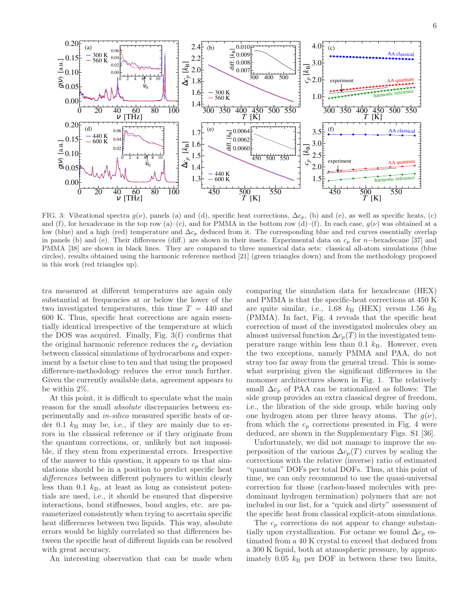

FIG. 3: Vibrational spectra  $g(\nu)$ , panels (a) and (d), specific heat corrections,  $\Delta c_p$ , (b) and (e), as well as specific heats, (c) and (f), for hexadecane in the top row (a)–(c), and for PMMA in the bottom row (d)–(f). In each case,  $g(\nu)$  was obtained at a low (blue) and a high (red) temperature and  $\Delta c_p$  deduced from it. The corresponding blue and red curves essentially overlap in panels (b) and (e). Their differences (diff.) are shown in their insets. Experimental data on  $c_p$  for n−hexadecane [37] and PMMA [38] are shown in black lines. They are compared to three numerical data sets: classical all-atom simulations (blue circles), results obtained using the harmonic reference method [21] (green triangles down) and from the methodology proposed in this work (red triangles up).

tra measured at different temperatures are again only substantial at frequencies at or below the lower of the two investigated temperatures, this time  $T = 440$  and 600 K. Thus, specific heat corrections are again essentially identical irrespective of the temperature at which the DOS was acquired. Finally, Fig. 3(f) confirms that the original harmonic reference reduces the  $c_p$  deviation between classical simulations of hydrocarbons and experiment by a factor close to ten and that using the proposed difference-methodology reduces the error much further. Given the currently available data, agreement appears to be within 2%.

At this point, it is difficult to speculate what the main reason for the small absolute discrepancies between experimentally and in-silico measured specific heats of order 0.1  $k_B$  may be, i.e., if they are mainly due to errors in the classical reference or if they originate from the quantum corrections, or, unlikely but not impossible, if they stem from experimental errors. Irrespective of the answer to this question, it appears to us that simulations should be in a position to predict specific heat differences between different polymers to within clearly less than 0.1  $k_B$ , at least as long as consistent potentials are used, i.e., it should be ensured that dispersive interactions, bond stiffnesses, bond angles, etc. are parameterized consistently when trying to ascertain specific heat differences between two liquids. This way, absolute errors would be highly correlated so that differences between the specific heat of different liquids can be resolved with great accuracy.

An interesting observation that can be made when

comparing the simulation data for hexadecane (HEX) and PMMA is that the specific-heat corrections at 450 K are quite similar, i.e., 1.68  $k_B$  (HEX) versus 1.56  $k_B$ (PMMA). In fact, Fig. 4 reveals that the specific heat correction of most of the investigated molecules obey an almost universal function  $\Delta c_p(T)$  in the investigated temperature range within less than  $0.1 \; k_\text{B}$ . However, even the two exceptions, namely PMMA and PAA, do not stray too far away from the general trend. This is somewhat surprising given the significant differences in the monomer architectures shown in Fig. 1. The relatively small  $\Delta c_p$  of PAA can be rationalized as follows: The side group provides an extra classical degree of freedom, i.e., the libration of the side group, while having only one hydrogen atom per three heavy atoms. The  $q(\nu)$ , from which the  $c_p$  corrections presented in Fig. 4 were deduced, are shown in the Supplementary Figs. S1 [36].

Unfortunately, we did not manage to improve the superposition of the various  $\Delta c_p(T)$  curves by scaling the corrections with the relative (inverse) ratio of estimated "quantum" DOFs per total DOFs. Thus, at this point of time, we can only recommend to use the quasi-universal correction for those (carbon-based molecules with predominant hydrogen termination) polymers that are not included in our list, for a "quick and dirty" assessment of the specific heat from classical explicit-atom simulations.

The  $c_p$  corrections do not appear to change substantially upon crystallization. For octane we found  $\Delta c_p$  estimated from a 40 K crystal to exceed that deduced from a 300 K liquid, both at atmospheric pressure, by approximately 0.05  $k_B$  per DOF in between these two limits,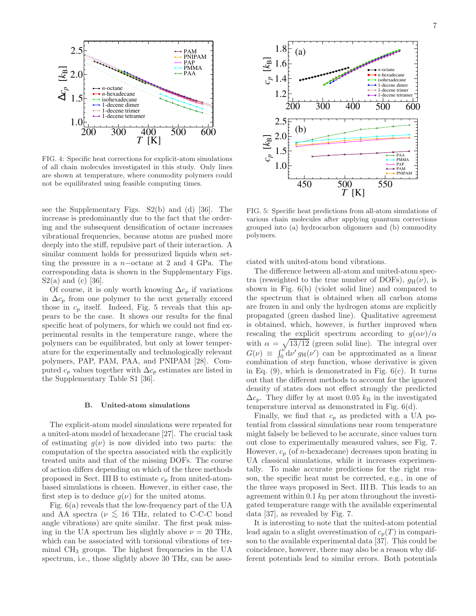

FIG. 4: Specific heat corrections for explicit-atom simulations of all chain molecules investigated in this study. Only lines are shown at temperature, where commodity polymers could not be equilibrated using feasible computing times.

see the Supplementary Figs. S2(b) and (d) [36]. The increase is predominantly due to the fact that the ordering and the subsequent densification of octane increases vibrational frequencies, because atoms are pushed more deeply into the stiff, repulsive part of their interaction. A similar comment holds for pressurized liquids when setting the pressure in a n−octane at 2 and 4 GPa. The corresponding data is shown in the Supplementary Figs.  $S2(a)$  and (c) [36].

Of course, it is only worth knowing  $\Delta c_p$  if variations in  $\Delta c_p$  from one polymer to the next generally exceed those in  $c_p$  itself. Indeed, Fig. 5 reveals that this appears to be the case. It shows our results for the final specific heat of polymers, for which we could not find experimental results in the temperature range, where the polymers can be equilibrated, but only at lower temperature for the experimentally and technologically relevant polymers, PAP, PAM, PAA, and PNIPAM [28]. Computed  $c_p$  values together with  $\Delta c_p$  estimates are listed in the Supplementary Table S1 [36].

## B. United-atom simulations

The explicit-atom model simulations were repeated for a united-atom model of hexadecane [27]. The crucial task of estimating  $q(\nu)$  is now divided into two parts: the computation of the spectra associated with the explicitly treated units and that of the missing DOFs. The course of action differs depending on which of the three methods proposed in Sect. III B to estimate  $c_p$  from united-atombased simulations is chosen. However, in either case, the first step is to deduce  $g(\nu)$  for the united atoms.

Fig. 6(a) reveals that the low-frequency part of the UA and AA spectra ( $\nu \lesssim 16$  THz, related to C-C-C bond angle vibrations) are quite similar. The first peak missing in the UA spectrum lies slightly above  $\nu = 20$  THz, which can be associated with torsional vibrations of terminal CH<sup>3</sup> groups. The highest frequencies in the UA spectrum, i.e., those slightly above 30 THz, can be asso-



FIG. 5: Specific heat predictions from all-atom simulations of various chain molecules after applying quantum corrections grouped into (a) hydrocarbon oligomers and (b) commodity polymers.

ciated with united-atom bond vibrations.

The difference between all-atom and united-atom spectra (reweighted to the true number of DOFs),  $q_H(\nu)$ , is shown in Fig. 6(b) (violet solid line) and compared to the spectrum that is obtained when all carbon atoms are frozen in and only the hydrogen atoms are explicitly propagated (green dashed line). Qualitative agreement is obtained, which, however, is further improved when rescaling the explicit spectrum according to  $g(\alpha \nu)/\alpha$ with  $\alpha = \sqrt{13/12}$  (green solid line). The integral over  $G(\nu) \equiv \int_0^{\nu} d\nu' g_H(\nu')$  can be approximated as a linear combination of step function, whose derivative is given in Eq.  $(9)$ , which is demonstrated in Fig.  $6(c)$ . It turns out that the different methods to account for the ignored density of states does not effect strongly the predicted  $\Delta c_p$ . They differ by at most 0.05  $k_B$  in the investigated temperature interval as demonstrated in Fig. 6(d).

Finally, we find that  $c_p$  as predicted with a UA potential from classical simulations near room temperature might falsely be believed to be accurate, since values turn out close to experimentally measured values, see Fig. 7. However,  $c_p$  (of *n*-hexadecane) decreases upon heating in UA classical simulations, while it increases experimentally. To make accurate predictions for the right reason, the specific heat must be corrected, e.g., in one of the three ways proposed in Sect. III B. This leads to an agreement within  $0.1 k_B$  per atom throughout the investigated temperature range with the available experimental data [37], as revealed by Fig. 7.

It is interesting to note that the united-atom potential lead again to a slight overestimation of  $c_p(T)$  in comparison to the available experimental data [37]. This could be coincidence, however, there may also be a reason why different potentials lead to similar errors. Both potentials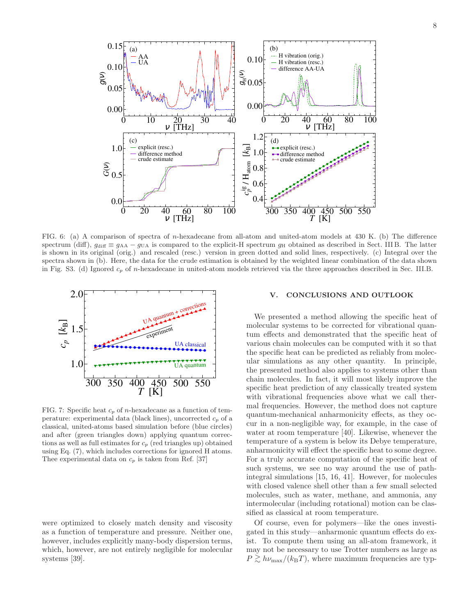

FIG. 6: (a) A comparison of spectra of n-hexadecane from all-atom and united-atom models at 430 K. (b) The difference spectrum (diff),  $g_{\text{diff}} \equiv g_{AA} - g_{\text{UA}}$  is compared to the explicit-H spectrum  $g_{\text{H}}$  obtained as described in Sect. IIIB. The latter is shown in its original (orig.) and rescaled (resc.) version in green dotted and solid lines, respectively. (c) Integral over the spectra shown in (b). Here, the data for the crude estimation is obtained by the weighted linear combination of the data shown in Fig. S3. (d) Ignored  $c_p$  of n-hexadecane in united-atom models retrieved via the three approaches described in Sec. III.B.



FIG. 7: Specific heat  $c_p$  of *n*-hexadecane as a function of temperature: experimental data (black lines), uncorrected  $c_p$  of a classical, united-atoms based simulation before (blue circles) and after (green triangles down) applying quantum corrections as well as full estimates for  $c_p$  (red triangles up) obtained using Eq. (7), which includes corrections for ignored H atoms. Thee experimental data on  $c_p$  is taken from Ref. [37]

were optimized to closely match density and viscosity as a function of temperature and pressure. Neither one, however, includes explicitly many-body dispersion terms, which, however, are not entirely negligible for molecular systems [39].

### V. CONCLUSIONS AND OUTLOOK

We presented a method allowing the specific heat of molecular systems to be corrected for vibrational quantum effects and demonstrated that the specific heat of various chain molecules can be computed with it so that the specific heat can be predicted as reliably from molecular simulations as any other quantity. In principle, the presented method also applies to systems other than chain molecules. In fact, it will most likely improve the specific heat prediction of any classically treated system with vibrational frequencies above what we call thermal frequencies. However, the method does not capture quantum-mechanical anharmonicity effects, as they occur in a non-negligible way, for example, in the case of water at room temperature [40]. Likewise, whenever the temperature of a system is below its Debye temperature, anharmonicity will effect the specific heat to some degree. For a truly accurate computation of the specific heat of such systems, we see no way around the use of pathintegral simulations [15, 16, 41]. However, for molecules with closed valence shell other than a few small selected molecules, such as water, methane, and ammonia, any intermolecular (including rotational) motion can be classified as classical at room temperature.

Of course, even for polymers—like the ones investigated in this study—anharmonic quantum effects do exist. To compute them using an all-atom framework, it may not be necessary to use Trotter numbers as large as  $P \gtrsim h\nu_{\text{max}}/(k_{\text{B}}T)$ , where maximum frequencies are typ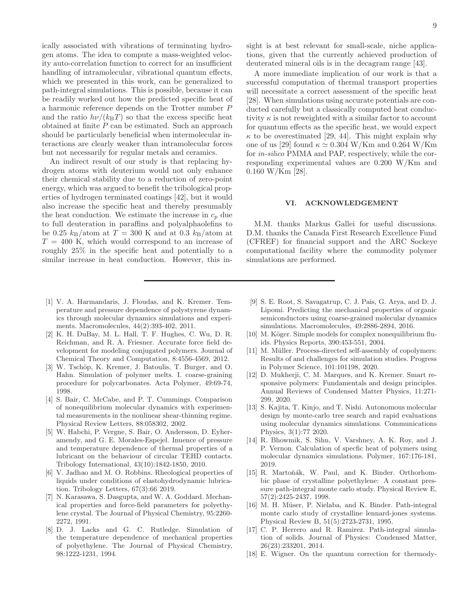ically associated with vibrations of terminating hydrogen atoms. The idea to compute a mass-weighted velocity auto-correlation function to correct for an insufficient handling of intramolecular, vibrational quantum effects, which we presented in this work, can be generalized to path-integral simulations. This is possible, because it can be readily worked out how the predicted specific heat of a harmonic reference depends on the Trotter number P and the ratio  $h\nu/(k_BT)$  so that the excess specific heat obtained at finite P can be estimated. Such an approach should be particularly beneficial when intermolecular interactions are clearly weaker than intramolecular forces but not necessarily for regular metals and ceramics.

An indirect result of our study is that replacing hydrogen atoms with deuterium would not only enhance their chemical stability due to a reduction of zero-point energy, which was argued to benefit the tribological properties of hydrogen terminated coatings [42], but it would also increase the specific heat and thereby presumably the heat conduction. We estimate the increase in  $c_p$  due to full deuteration in paraffins and polyalphaolefins to be 0.25  $k_{\text{B}}/\text{atom}$  at  $T = 300$  K and at 0.3  $k_{\text{B}}/\text{atom}$  at  $T = 400$  K, which would correspond to an increase of roughly 25% in the specific heat and potentially to a similar increase in heat conduction. However, this in-

- [1] V. A. Harmandaris, J. Floudas, and K. Kremer. Temperature and pressure dependence of polystyrene dynamics through molecular dynamics simulations and experiments. Macromolecules, 44(2):393-402, 2011.
- [2] K. H. DuBay, M. L. Hall, T. F. Hughes, C. Wu, D. R. Reichman, and R. A. Friesner. Accurate force field development for modeling conjugated polymers. Journal of Chemical Theory and Computation, 8:4556-4569, 2012.
- [3] W. Tschöp, K. Kremer, J. Batoulis, T. Burger, and O. Hahn. Simulation of polymer melts. I. coarse-graining procedure for polycarbonates. Acta Polymer, 49:69-74, 1998.
- [4] S. Bair, C. McCabe, and P. T. Cummings. Comparison of nonequilibrium molecular dynamics with experimental measurements in the nonlinear shear-thinning regime. Physical Review Letters, 88:058302, 2002.
- [5] W. Habchi, P. Vergne, S. Bair, O. Andersson, D. Eyheramendy, and G. E. Morales-Espejel. Inuence of pressure and temperature dependence of thermal properties of a lubricant on the behaviour of circular TEHD contacts. Tribology International, 43(10):1842-1850, 2010.
- [6] V. Jadhao and M. O. Robbins. Rheological properties of liquids under conditions of elastohydrodynamic lubrication. Tribology Letters, 67(3):66 2019.
- [7] N. Karasawa, S. Dasgupta, and W. A. Goddard. Mechanical properties and force-field parameters for polyethylene crystal. The Journal of Physical Chemistry, 95:2260- 2272, 1991.
- [8] D. J. Lacks and G. C. Rutledge. Simulation of the temperature dependence of mechanical properties of polyethylene. The Journal of Physical Chemistry, 98:1222-1231, 1994.

sight is at best relevant for small-scale, niche applications, given that the currently achieved production of deuterated mineral oils is in the decagram range [43].

A more immediate implication of our work is that a successful computation of thermal transport properties will necessitate a correct assessment of the specific heat [28]. When simulations using accurate potentials are conducted carefully but a classically computed heat conductivity  $\kappa$  is not reweighted with a similar factor to account for quantum effects as the specific heat, we would expect  $\kappa$  to be overestimated [29, 44]. This might explain why one of us [29] found  $\kappa \simeq 0.304 \text{ W/Km}$  and 0.264 W/Km for in-silico PMMA and PAP, respectively, while the corresponding experimental values are 0.200 W/Km and 0.160 W/Km [28].

#### VI. ACKNOWLEDGEMENT

M.M. thanks Markus Gallei for useful discussions. D.M. thanks the Canada First Research Excellence Fund (CFREF) for financial support and the ARC Sockeye computational facility where the commodity polymer simulations are performed.

- [9] S. E. Root, S. Savagatrup, C. J. Pais, G. Arya, and D. J. Lipomi. Predicting the mechanical properties of organic semiconductors using coarse-grained molecular dynamics simulations. Macromolecules, 49:2886-2894, 2016.
- [10] M. Köger. Simple models for complex nonequilibrium fluids. Physics Reports, 390:453-551, 2004.
- [11] M. Müller. Process-directed self-assembly of copolymers: Results of and challenges for simulation studies. Progress in Polymer Science, 101:101198, 2020.
- [12] D. Mukherji, C. M. Marques, and K. Kremer. Smart responsive polymers: Fundamentals and design principles. Annual Reviews of Condensed Matter Physics, 11:271- 299, 2020.
- [13] S. Kajita, T. Kinjo, and T. Nishi. Autonomous molecular design by monte-carlo tree search and rapid evaluations using molecular dynamics simulations. Communications Physics, 3(1):77 2020.
- [14] R. Bhowmik, S. Sihn, V. Varshney, A. K. Roy, and J. P. Vernon. Calculation of specfic heat of polymers using molecular dynamics simulations. Polymer, 167:176-181, 2019.
- [15] R. Martoňák, W. Paul, and K. Binder. Orthorhombic phase of crystalline polyethylene: A constant pressure path-integral monte carlo study. Physical Review E, 57(2):2425-2437, 1998.
- [16] M. H. Müser, P. Nielaba, and K. Binder. Path-integral monte carlo study of crystalline lennard-jones systems. Physical Review B, 51(5):2723-2731, 1995.
- [17] C. P. Herrero and R. Ramirez. Path-integral simulation of solids. Journal of Physics: Condensed Matter, 26(23):233201, 2014.
- [18] E. Wigner. On the quantum correction for thermody-